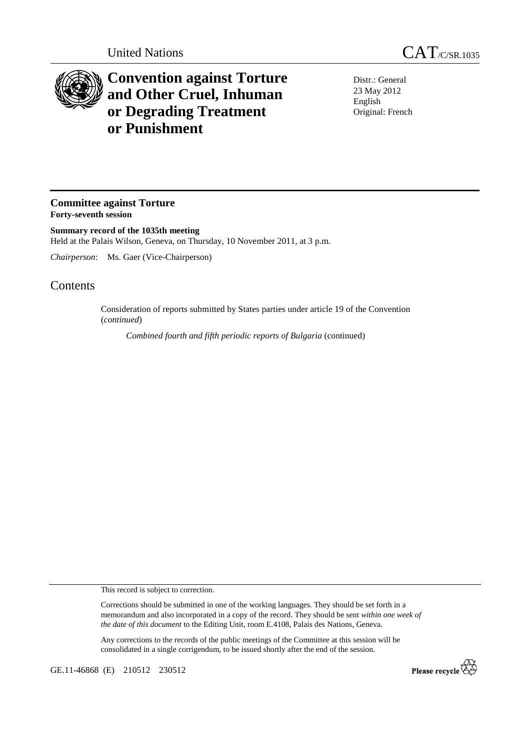

## **Convention against Torture and Other Cruel, Inhuman or Degrading Treatment or Punishment**

Distr.: General 23 May 2012 English Original: French

## **Committee against Torture Forty-seventh session**

**Summary record of the 1035th meeting**  Held at the Palais Wilson, Geneva, on Thursday, 10 November 2011, at 3 p.m.

*Chairperson*: Ms. Gaer (Vice-Chairperson)

## **Contents**

Consideration of reports submitted by States parties under article 19 of the Convention (*continued*)

*Combined fourth and fifth periodic reports of Bulgaria* (continued)

This record is subject to correction.

Corrections should be submitted in one of the working languages. They should be set forth in a memorandum and also incorporated in a copy of the record. They should be sent *within one week of the date of this document* to the Editing Unit, room E.4108, Palais des Nations, Geneva.

Any corrections to the records of the public meetings of the Committee at this session will be consolidated in a single corrigendum, to be issued shortly after the end of the session.

GE.11-46868 (E) 210512 230512

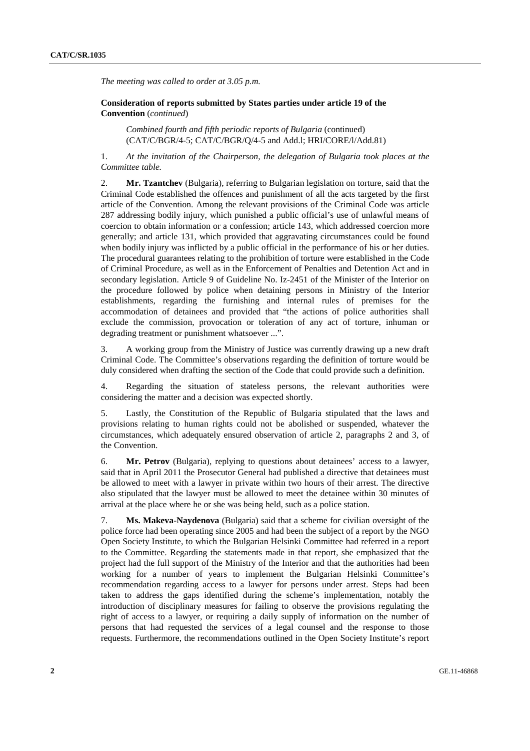*The meeting was called to order at 3.05 p.m.* 

 **Consideration of reports submitted by States parties under article 19 of the Convention** (*continued*)

*Combined fourth and fifth periodic reports of Bulgaria* (continued) (CAT/C/BGR/4-5; CAT/C/BGR/Q/4-5 and Add.l; HRI/CORE/l/Add.81)

1. *At the invitation of the Chairperson, the delegation of Bulgaria took places at the Committee table.*

2. **Mr. Tzantchev** (Bulgaria), referring to Bulgarian legislation on torture, said that the Criminal Code established the offences and punishment of all the acts targeted by the first article of the Convention. Among the relevant provisions of the Criminal Code was article 287 addressing bodily injury, which punished a public official's use of unlawful means of coercion to obtain information or a confession; article 143, which addressed coercion more generally; and article 131, which provided that aggravating circumstances could be found when bodily injury was inflicted by a public official in the performance of his or her duties. The procedural guarantees relating to the prohibition of torture were established in the Code of Criminal Procedure, as well as in the Enforcement of Penalties and Detention Act and in secondary legislation. Article 9 of Guideline No. Iz-2451 of the Minister of the Interior on the procedure followed by police when detaining persons in Ministry of the Interior establishments, regarding the furnishing and internal rules of premises for the accommodation of detainees and provided that "the actions of police authorities shall exclude the commission, provocation or toleration of any act of torture, inhuman or degrading treatment or punishment whatsoever ...".

3. A working group from the Ministry of Justice was currently drawing up a new draft Criminal Code. The Committee's observations regarding the definition of torture would be duly considered when drafting the section of the Code that could provide such a definition.

4. Regarding the situation of stateless persons, the relevant authorities were considering the matter and a decision was expected shortly.

5. Lastly, the Constitution of the Republic of Bulgaria stipulated that the laws and provisions relating to human rights could not be abolished or suspended, whatever the circumstances, which adequately ensured observation of article 2, paragraphs 2 and 3, of the Convention.

6. **Mr. Petrov** (Bulgaria), replying to questions about detainees' access to a lawyer, said that in April 2011 the Prosecutor General had published a directive that detainees must be allowed to meet with a lawyer in private within two hours of their arrest. The directive also stipulated that the lawyer must be allowed to meet the detainee within 30 minutes of arrival at the place where he or she was being held, such as a police station.

7. **Ms. Makeva-Naydenova** (Bulgaria) said that a scheme for civilian oversight of the police force had been operating since 2005 and had been the subject of a report by the NGO Open Society Institute, to which the Bulgarian Helsinki Committee had referred in a report to the Committee. Regarding the statements made in that report, she emphasized that the project had the full support of the Ministry of the Interior and that the authorities had been working for a number of years to implement the Bulgarian Helsinki Committee's recommendation regarding access to a lawyer for persons under arrest. Steps had been taken to address the gaps identified during the scheme's implementation, notably the introduction of disciplinary measures for failing to observe the provisions regulating the right of access to a lawyer, or requiring a daily supply of information on the number of persons that had requested the services of a legal counsel and the response to those requests. Furthermore, the recommendations outlined in the Open Society Institute's report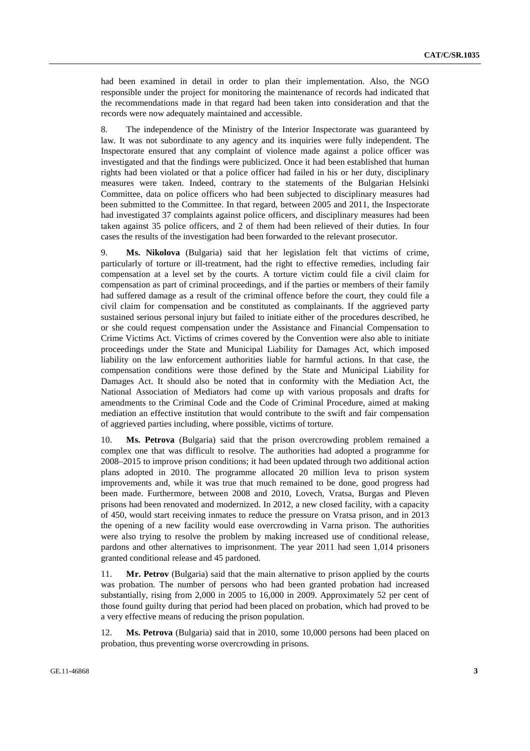had been examined in detail in order to plan their implementation. Also, the NGO responsible under the project for monitoring the maintenance of records had indicated that the recommendations made in that regard had been taken into consideration and that the records were now adequately maintained and accessible.

8. The independence of the Ministry of the Interior Inspectorate was guaranteed by law. It was not subordinate to any agency and its inquiries were fully independent. The Inspectorate ensured that any complaint of violence made against a police officer was investigated and that the findings were publicized. Once it had been established that human rights had been violated or that a police officer had failed in his or her duty, disciplinary measures were taken. Indeed, contrary to the statements of the Bulgarian Helsinki Committee, data on police officers who had been subjected to disciplinary measures had been submitted to the Committee. In that regard, between 2005 and 2011, the Inspectorate had investigated 37 complaints against police officers, and disciplinary measures had been taken against 35 police officers, and 2 of them had been relieved of their duties. In four cases the results of the investigation had been forwarded to the relevant prosecutor.

9. **Ms. Nikolova** (Bulgaria) said that her legislation felt that victims of crime, particularly of torture or ill-treatment, had the right to effective remedies, including fair compensation at a level set by the courts. A torture victim could file a civil claim for compensation as part of criminal proceedings, and if the parties or members of their family had suffered damage as a result of the criminal offence before the court, they could file a civil claim for compensation and be constituted as complainants. If the aggrieved party sustained serious personal injury but failed to initiate either of the procedures described, he or she could request compensation under the Assistance and Financial Compensation to Crime Victims Act. Victims of crimes covered by the Convention were also able to initiate proceedings under the State and Municipal Liability for Damages Act, which imposed liability on the law enforcement authorities liable for harmful actions. In that case, the compensation conditions were those defined by the State and Municipal Liability for Damages Act. It should also be noted that in conformity with the Mediation Act, the National Association of Mediators had come up with various proposals and drafts for amendments to the Criminal Code and the Code of Criminal Procedure, aimed at making mediation an effective institution that would contribute to the swift and fair compensation of aggrieved parties including, where possible, victims of torture.

10. **Ms. Petrova** (Bulgaria) said that the prison overcrowding problem remained a complex one that was difficult to resolve. The authorities had adopted a programme for 2008–2015 to improve prison conditions; it had been updated through two additional action plans adopted in 2010. The programme allocated 20 million leva to prison system improvements and, while it was true that much remained to be done, good progress had been made. Furthermore, between 2008 and 2010, Lovech, Vratsa, Burgas and Pleven prisons had been renovated and modernized. In 2012, a new closed facility, with a capacity of 450, would start receiving inmates to reduce the pressure on Vratsa prison, and in 2013 the opening of a new facility would ease overcrowding in Varna prison. The authorities were also trying to resolve the problem by making increased use of conditional release, pardons and other alternatives to imprisonment. The year 2011 had seen 1,014 prisoners granted conditional release and 45 pardoned.

11. **Mr. Petrov** (Bulgaria) said that the main alternative to prison applied by the courts was probation. The number of persons who had been granted probation had increased substantially, rising from 2,000 in 2005 to 16,000 in 2009. Approximately 52 per cent of those found guilty during that period had been placed on probation, which had proved to be a very effective means of reducing the prison population.

12. **Ms. Petrova** (Bulgaria) said that in 2010, some 10,000 persons had been placed on probation, thus preventing worse overcrowding in prisons.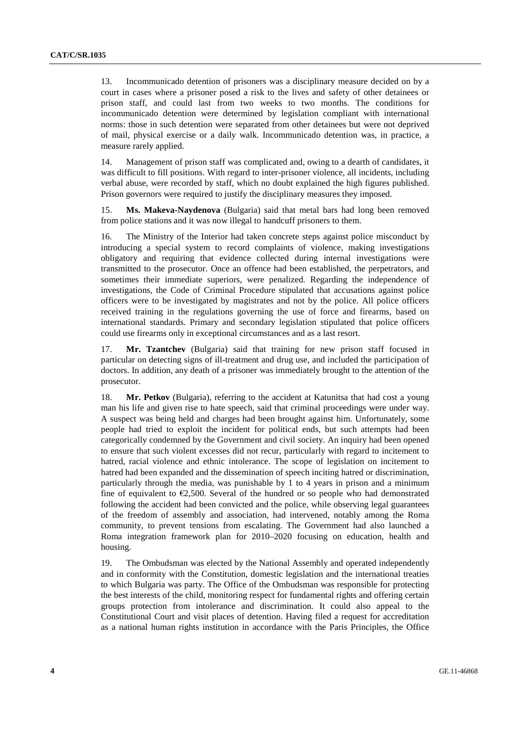13. Incommunicado detention of prisoners was a disciplinary measure decided on by a court in cases where a prisoner posed a risk to the lives and safety of other detainees or prison staff, and could last from two weeks to two months. The conditions for incommunicado detention were determined by legislation compliant with international norms: those in such detention were separated from other detainees but were not deprived of mail, physical exercise or a daily walk. Incommunicado detention was, in practice, a measure rarely applied.

14. Management of prison staff was complicated and, owing to a dearth of candidates, it was difficult to fill positions. With regard to inter-prisoner violence, all incidents, including verbal abuse, were recorded by staff, which no doubt explained the high figures published. Prison governors were required to justify the disciplinary measures they imposed.

15. **Ms. Makeva-Naydenova** (Bulgaria) said that metal bars had long been removed from police stations and it was now illegal to handcuff prisoners to them.

16. The Ministry of the Interior had taken concrete steps against police misconduct by introducing a special system to record complaints of violence, making investigations obligatory and requiring that evidence collected during internal investigations were transmitted to the prosecutor. Once an offence had been established, the perpetrators, and sometimes their immediate superiors, were penalized. Regarding the independence of investigations, the Code of Criminal Procedure stipulated that accusations against police officers were to be investigated by magistrates and not by the police. All police officers received training in the regulations governing the use of force and firearms, based on international standards. Primary and secondary legislation stipulated that police officers could use firearms only in exceptional circumstances and as a last resort.

17. **Mr. Tzantchev** (Bulgaria) said that training for new prison staff focused in particular on detecting signs of ill-treatment and drug use, and included the participation of doctors. In addition, any death of a prisoner was immediately brought to the attention of the prosecutor.

18. **Mr. Petkov** (Bulgaria), referring to the accident at Katunitsa that had cost a young man his life and given rise to hate speech, said that criminal proceedings were under way. A suspect was being held and charges had been brought against him. Unfortunately, some people had tried to exploit the incident for political ends, but such attempts had been categorically condemned by the Government and civil society. An inquiry had been opened to ensure that such violent excesses did not recur, particularly with regard to incitement to hatred, racial violence and ethnic intolerance. The scope of legislation on incitement to hatred had been expanded and the dissemination of speech inciting hatred or discrimination, particularly through the media, was punishable by 1 to 4 years in prison and a minimum fine of equivalent to  $E2,500$ . Several of the hundred or so people who had demonstrated following the accident had been convicted and the police, while observing legal guarantees of the freedom of assembly and association, had intervened, notably among the Roma community, to prevent tensions from escalating. The Government had also launched a Roma integration framework plan for 2010–2020 focusing on education, health and housing.

19. The Ombudsman was elected by the National Assembly and operated independently and in conformity with the Constitution, domestic legislation and the international treaties to which Bulgaria was party. The Office of the Ombudsman was responsible for protecting the best interests of the child, monitoring respect for fundamental rights and offering certain groups protection from intolerance and discrimination. It could also appeal to the Constitutional Court and visit places of detention. Having filed a request for accreditation as a national human rights institution in accordance with the Paris Principles, the Office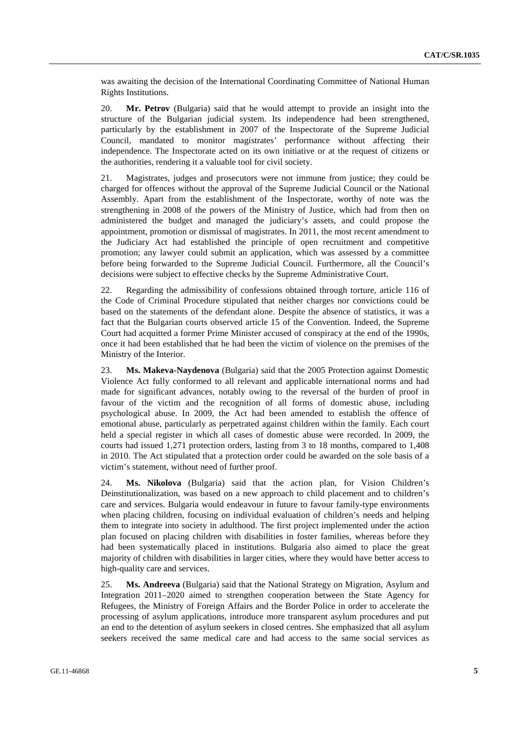was awaiting the decision of the International Coordinating Committee of National Human Rights Institutions.

20. **Mr. Petrov** (Bulgaria) said that he would attempt to provide an insight into the structure of the Bulgarian judicial system. Its independence had been strengthened, particularly by the establishment in 2007 of the Inspectorate of the Supreme Judicial Council, mandated to monitor magistrates' performance without affecting their independence. The Inspectorate acted on its own initiative or at the request of citizens or the authorities, rendering it a valuable tool for civil society.

21. Magistrates, judges and prosecutors were not immune from justice; they could be charged for offences without the approval of the Supreme Judicial Council or the National Assembly. Apart from the establishment of the Inspectorate, worthy of note was the strengthening in 2008 of the powers of the Ministry of Justice, which had from then on administered the budget and managed the judiciary's assets, and could propose the appointment, promotion or dismissal of magistrates. In 2011, the most recent amendment to the Judiciary Act had established the principle of open recruitment and competitive promotion; any lawyer could submit an application, which was assessed by a committee before being forwarded to the Supreme Judicial Council. Furthermore, all the Council's decisions were subject to effective checks by the Supreme Administrative Court.

22. Regarding the admissibility of confessions obtained through torture, article 116 of the Code of Criminal Procedure stipulated that neither charges nor convictions could be based on the statements of the defendant alone. Despite the absence of statistics, it was a fact that the Bulgarian courts observed article 15 of the Convention. Indeed, the Supreme Court had acquitted a former Prime Minister accused of conspiracy at the end of the 1990s, once it had been established that he had been the victim of violence on the premises of the Ministry of the Interior.

23. **Ms. Makeva-Naydenova** (Bulgaria) said that the 2005 Protection against Domestic Violence Act fully conformed to all relevant and applicable international norms and had made for significant advances, notably owing to the reversal of the burden of proof in favour of the victim and the recognition of all forms of domestic abuse, including psychological abuse. In 2009, the Act had been amended to establish the offence of emotional abuse, particularly as perpetrated against children within the family. Each court held a special register in which all cases of domestic abuse were recorded. In 2009, the courts had issued 1,271 protection orders, lasting from 3 to 18 months, compared to 1,408 in 2010. The Act stipulated that a protection order could be awarded on the sole basis of a victim's statement, without need of further proof.

24. **Ms. Nikolova** (Bulgaria) said that the action plan, for Vision Children's Deinstitutionalization, was based on a new approach to child placement and to children's care and services. Bulgaria would endeavour in future to favour family-type environments when placing children, focusing on individual evaluation of children's needs and helping them to integrate into society in adulthood. The first project implemented under the action plan focused on placing children with disabilities in foster families, whereas before they had been systematically placed in institutions. Bulgaria also aimed to place the great majority of children with disabilities in larger cities, where they would have better access to high-quality care and services.

25. **Ms. Andreeva** (Bulgaria) said that the National Strategy on Migration, Asylum and Integration 2011–2020 aimed to strengthen cooperation between the State Agency for Refugees, the Ministry of Foreign Affairs and the Border Police in order to accelerate the processing of asylum applications, introduce more transparent asylum procedures and put an end to the detention of asylum seekers in closed centres. She emphasized that all asylum seekers received the same medical care and had access to the same social services as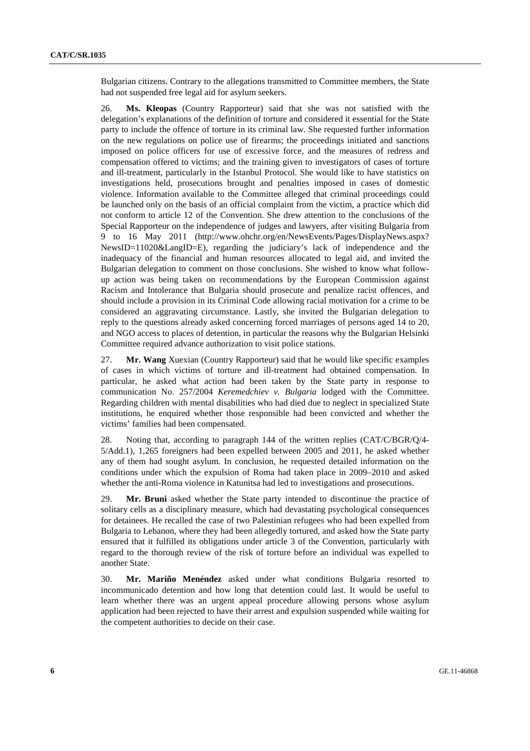Bulgarian citizens. Contrary to the allegations transmitted to Committee members, the State had not suspended free legal aid for asylum seekers.

26. **Ms. Kleopas** (Country Rapporteur) said that she was not satisfied with the delegation's explanations of the definition of torture and considered it essential for the State party to include the offence of torture in its criminal law. She requested further information on the new regulations on police use of firearms; the proceedings initiated and sanctions imposed on police officers for use of excessive force, and the measures of redress and compensation offered to victims; and the training given to investigators of cases of torture and ill-treatment, particularly in the Istanbul Protocol. She would like to have statistics on investigations held, prosecutions brought and penalties imposed in cases of domestic violence. Information available to the Committee alleged that criminal proceedings could be launched only on the basis of an official complaint from the victim, a practice which did not conform to article 12 of the Convention. She drew attention to the conclusions of the Special Rapporteur on the independence of judges and lawyers, after visiting Bulgaria from 9 to 16 May 2011 (http://www.ohchr.org/en/NewsEvents/Pages/DisplayNews.aspx? NewsID=11020&LangID=E), regarding the judiciary's lack of independence and the inadequacy of the financial and human resources allocated to legal aid, and invited the Bulgarian delegation to comment on those conclusions. She wished to know what followup action was being taken on recommendations by the European Commission against Racism and Intolerance that Bulgaria should prosecute and penalize racist offences, and should include a provision in its Criminal Code allowing racial motivation for a crime to be considered an aggravating circumstance. Lastly, she invited the Bulgarian delegation to reply to the questions already asked concerning forced marriages of persons aged 14 to 20, and NGO access to places of detention, in particular the reasons why the Bulgarian Helsinki Committee required advance authorization to visit police stations.

27. **Mr. Wang** Xuexian (Country Rapporteur) said that he would like specific examples of cases in which victims of torture and ill-treatment had obtained compensation. In particular, he asked what action had been taken by the State party in response to communication No. 257/2004 *Keremedchiev v. Bulgaria* lodged with the Committee. Regarding children with mental disabilities who had died due to neglect in specialized State institutions, he enquired whether those responsible had been convicted and whether the victims' families had been compensated.

28. Noting that, according to paragraph 144 of the written replies (CAT/C/BGR/Q/4- 5/Add.1), 1,265 foreigners had been expelled between 2005 and 2011, he asked whether any of them had sought asylum. In conclusion, he requested detailed information on the conditions under which the expulsion of Roma had taken place in 2009–2010 and asked whether the anti-Roma violence in Katunitsa had led to investigations and prosecutions.

29. **Mr. Bruni** asked whether the State party intended to discontinue the practice of solitary cells as a disciplinary measure, which had devastating psychological consequences for detainees. He recalled the case of two Palestinian refugees who had been expelled from Bulgaria to Lebanon, where they had been allegedly tortured, and asked how the State party ensured that it fulfilled its obligations under article 3 of the Convention, particularly with regard to the thorough review of the risk of torture before an individual was expelled to another State.

30. **Mr. Mariño Menéndez** asked under what conditions Bulgaria resorted to incommunicado detention and how long that detention could last. It would be useful to learn whether there was an urgent appeal procedure allowing persons whose asylum application had been rejected to have their arrest and expulsion suspended while waiting for the competent authorities to decide on their case.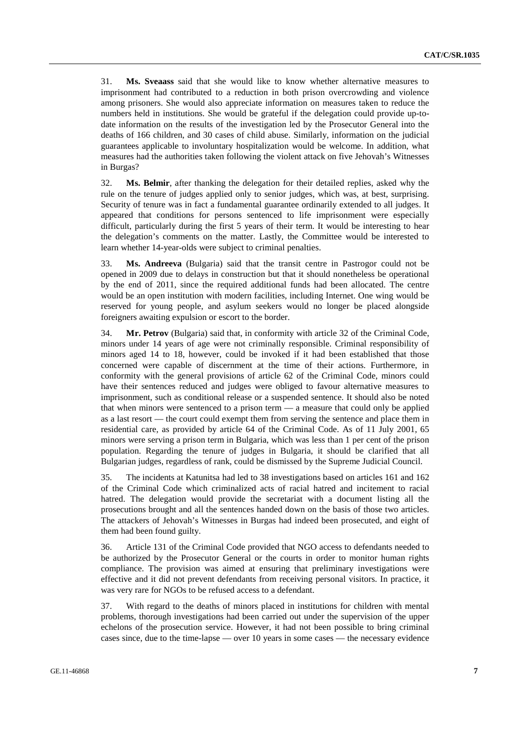31. **Ms. Sveaass** said that she would like to know whether alternative measures to imprisonment had contributed to a reduction in both prison overcrowding and violence among prisoners. She would also appreciate information on measures taken to reduce the numbers held in institutions. She would be grateful if the delegation could provide up-todate information on the results of the investigation led by the Prosecutor General into the deaths of 166 children, and 30 cases of child abuse. Similarly, information on the judicial guarantees applicable to involuntary hospitalization would be welcome. In addition, what measures had the authorities taken following the violent attack on five Jehovah's Witnesses in Burgas?

32. **Ms. Belmir**, after thanking the delegation for their detailed replies, asked why the rule on the tenure of judges applied only to senior judges, which was, at best, surprising. Security of tenure was in fact a fundamental guarantee ordinarily extended to all judges. It appeared that conditions for persons sentenced to life imprisonment were especially difficult, particularly during the first 5 years of their term. It would be interesting to hear the delegation's comments on the matter. Lastly, the Committee would be interested to learn whether 14-year-olds were subject to criminal penalties.

33. **Ms. Andreeva** (Bulgaria) said that the transit centre in Pastrogor could not be opened in 2009 due to delays in construction but that it should nonetheless be operational by the end of 2011, since the required additional funds had been allocated. The centre would be an open institution with modern facilities, including Internet. One wing would be reserved for young people, and asylum seekers would no longer be placed alongside foreigners awaiting expulsion or escort to the border.

34. **Mr. Petrov** (Bulgaria) said that, in conformity with article 32 of the Criminal Code, minors under 14 years of age were not criminally responsible. Criminal responsibility of minors aged 14 to 18, however, could be invoked if it had been established that those concerned were capable of discernment at the time of their actions. Furthermore, in conformity with the general provisions of article 62 of the Criminal Code, minors could have their sentences reduced and judges were obliged to favour alternative measures to imprisonment, such as conditional release or a suspended sentence. It should also be noted that when minors were sentenced to a prison term — a measure that could only be applied as a last resort — the court could exempt them from serving the sentence and place them in residential care, as provided by article 64 of the Criminal Code. As of 11 July 2001, 65 minors were serving a prison term in Bulgaria, which was less than 1 per cent of the prison population. Regarding the tenure of judges in Bulgaria, it should be clarified that all Bulgarian judges, regardless of rank, could be dismissed by the Supreme Judicial Council.

35. The incidents at Katunitsa had led to 38 investigations based on articles 161 and 162 of the Criminal Code which criminalized acts of racial hatred and incitement to racial hatred. The delegation would provide the secretariat with a document listing all the prosecutions brought and all the sentences handed down on the basis of those two articles. The attackers of Jehovah's Witnesses in Burgas had indeed been prosecuted, and eight of them had been found guilty.

36. Article 131 of the Criminal Code provided that NGO access to defendants needed to be authorized by the Prosecutor General or the courts in order to monitor human rights compliance. The provision was aimed at ensuring that preliminary investigations were effective and it did not prevent defendants from receiving personal visitors. In practice, it was very rare for NGOs to be refused access to a defendant.

37. With regard to the deaths of minors placed in institutions for children with mental problems, thorough investigations had been carried out under the supervision of the upper echelons of the prosecution service. However, it had not been possible to bring criminal cases since, due to the time-lapse — over 10 years in some cases — the necessary evidence